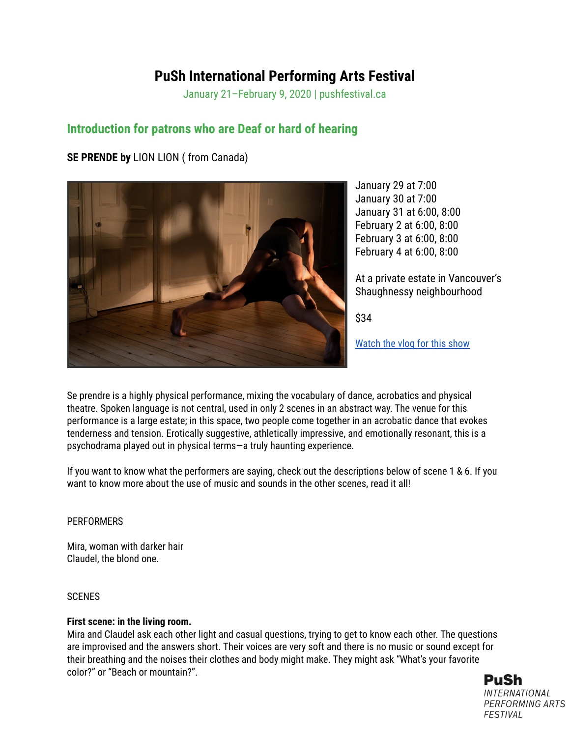# **PuSh International Performing Arts Festival**

January 21–February 9, 2020 | pushfestival.ca

# **Introduction for patrons who are Deaf or hard of hearing**

# **SE PRENDE by** LION LION ( from Canada)



January 29 at 7:00 January 30 at 7:00 January 31 at 6:00, 8:00 February 2 at 6:00, 8:00 February 3 at 6:00, 8:00 February 4 at 6:00, 8:00

At a private estate in Vancouver's Shaughnessy neighbourhood

\$34

[Watch](https://youtu.be/0RMPkMEmnkQ?list=PLPf1Seomuts-UOrn2MUBlqircK9hBlM_M) the vlog for this show

Se prendre is a highly physical performance, mixing the vocabulary of dance, acrobatics and physical theatre. Spoken language is not central, used in only 2 scenes in an abstract way. The venue for this performance is a large estate; in this space, two people come together in an acrobatic dance that evokes tenderness and tension. Erotically suggestive, athletically impressive, and emotionally resonant, this is a psychodrama played out in physical terms—a truly haunting experience.

If you want to know what the performers are saying, check out the descriptions below of scene 1 & 6. If you want to know more about the use of music and sounds in the other scenes, read it all!

## **PERFORMERS**

Mira, woman with darker hair Claudel, the blond one.

## **SCENES**

# **First scene: in the living room.**

Mira and Claudel ask each other light and casual questions, trying to get to know each other. The questions are improvised and the answers short. Their voices are very soft and there is no music or sound except for their breathing and the noises their clothes and body might make. They might ask "What's your favorite color?" or "Beach or mountain?".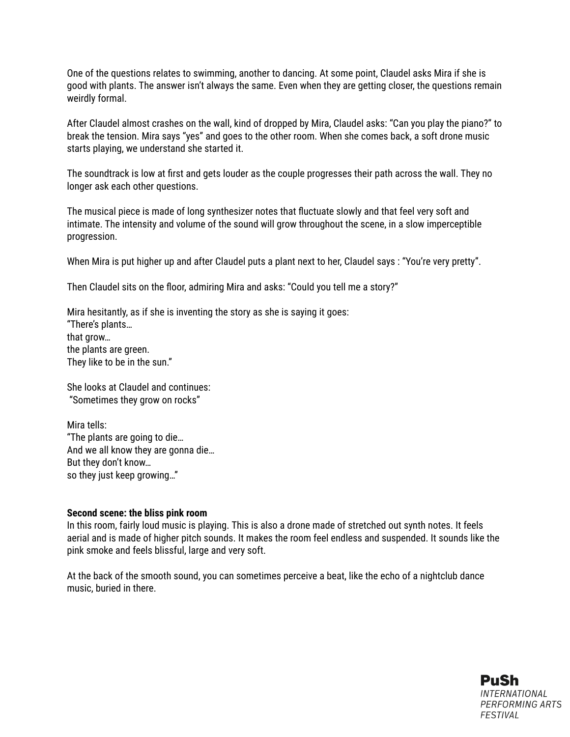One of the questions relates to swimming, another to dancing. At some point, Claudel asks Mira if she is good with plants. The answer isn't always the same. Even when they are getting closer, the questions remain weirdly formal.

After Claudel almost crashes on the wall, kind of dropped by Mira, Claudel asks: "Can you play the piano?" to break the tension. Mira says "yes" and goes to the other room. When she comes back, a soft drone music starts playing, we understand she started it.

The soundtrack is low at first and gets louder as the couple progresses their path across the wall. They no longer ask each other questions.

The musical piece is made of long synthesizer notes that fluctuate slowly and that feel very soft and intimate. The intensity and volume of the sound will grow throughout the scene, in a slow imperceptible progression.

When Mira is put higher up and after Claudel puts a plant next to her, Claudel says : "You're very pretty".

Then Claudel sits on the floor, admiring Mira and asks: "Could you tell me a story?"

Mira hesitantly, as if she is inventing the story as she is saying it goes: "There's plants… that grow… the plants are green. They like to be in the sun."

She looks at Claudel and continues: "Sometimes they grow on rocks"

Mira tells: "The plants are going to die… And we all know they are gonna die… But they don't know… so they just keep growing…"

#### **Second scene: the bliss pink room**

In this room, fairly loud music is playing. This is also a drone made of stretched out synth notes. It feels aerial and is made of higher pitch sounds. It makes the room feel endless and suspended. It sounds like the pink smoke and feels blissful, large and very soft.

At the back of the smooth sound, you can sometimes perceive a beat, like the echo of a nightclub dance music, buried in there.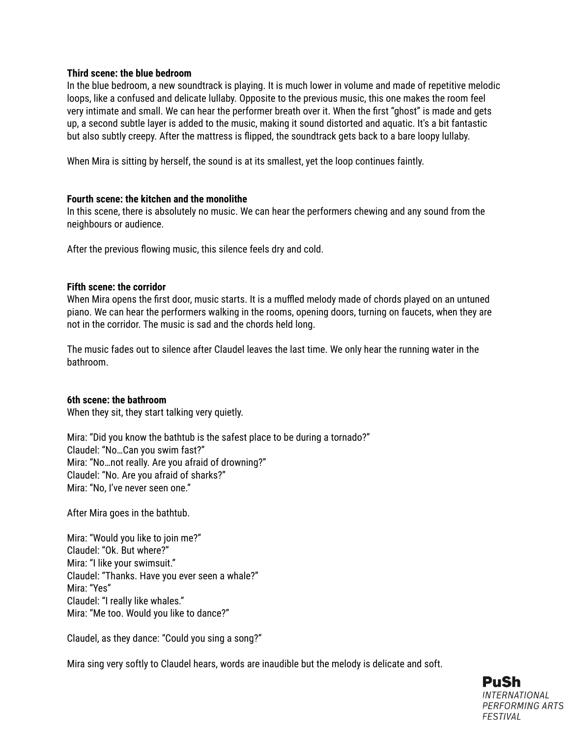#### **Third scene: the blue bedroom**

In the blue bedroom, a new soundtrack is playing. It is much lower in volume and made of repetitive melodic loops, like a confused and delicate lullaby. Opposite to the previous music, this one makes the room feel very intimate and small. We can hear the performer breath over it. When the first "ghost" is made and gets up, a second subtle layer is added to the music, making it sound distorted and aquatic. It's a bit fantastic but also subtly creepy. After the mattress is flipped, the soundtrack gets back to a bare loopy lullaby.

When Mira is sitting by herself, the sound is at its smallest, yet the loop continues faintly.

#### **Fourth scene: the kitchen and the monolithe**

In this scene, there is absolutely no music. We can hear the performers chewing and any sound from the neighbours or audience.

After the previous flowing music, this silence feels dry and cold.

#### **Fifth scene: the corridor**

When Mira opens the first door, music starts. It is a muffled melody made of chords played on an untuned piano. We can hear the performers walking in the rooms, opening doors, turning on faucets, when they are not in the corridor. The music is sad and the chords held long.

The music fades out to silence after Claudel leaves the last time. We only hear the running water in the bathroom.

#### **6th scene: the bathroom**

When they sit, they start talking very quietly.

Mira: "Did you know the bathtub is the safest place to be during a tornado?" Claudel: "No…Can you swim fast?" Mira: "No…not really. Are you afraid of drowning?" Claudel: "No. Are you afraid of sharks?" Mira: "No, I've never seen one."

After Mira goes in the bathtub.

Mira: "Would you like to join me?" Claudel: "Ok. But where?" Mira: "I like your swimsuit." Claudel: "Thanks. Have you ever seen a whale?" Mira: "Yes" Claudel: "I really like whales." Mira: "Me too. Would you like to dance?"

Claudel, as they dance: "Could you sing a song?"

Mira sing very softly to Claudel hears, words are inaudible but the melody is delicate and soft.